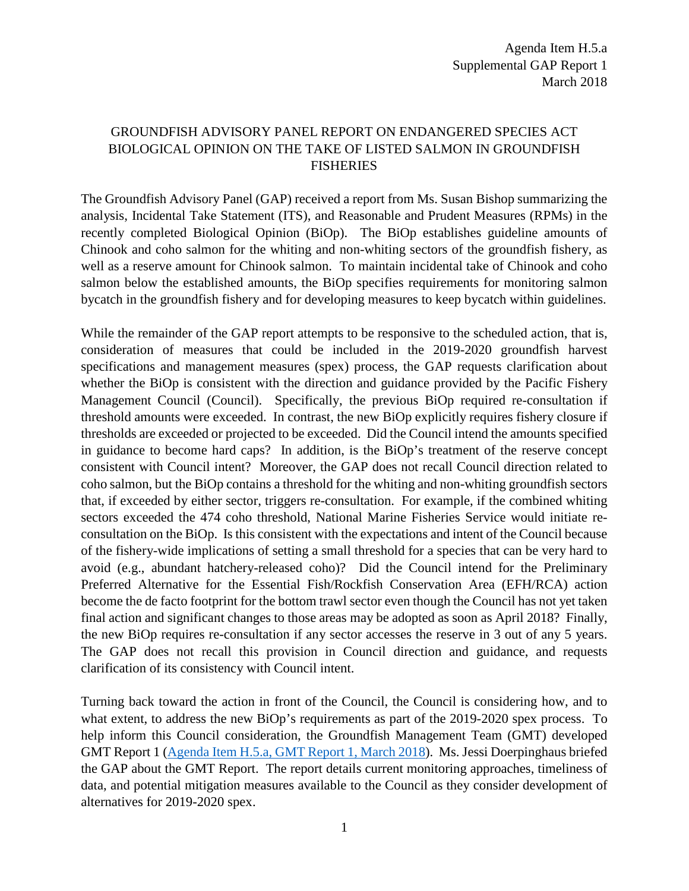## GROUNDFISH ADVISORY PANEL REPORT ON ENDANGERED SPECIES ACT BIOLOGICAL OPINION ON THE TAKE OF LISTED SALMON IN GROUNDFISH FISHERIES

The Groundfish Advisory Panel (GAP) received a report from Ms. Susan Bishop summarizing the analysis, Incidental Take Statement (ITS), and Reasonable and Prudent Measures (RPMs) in the recently completed Biological Opinion (BiOp). The BiOp establishes guideline amounts of Chinook and coho salmon for the whiting and non-whiting sectors of the groundfish fishery, as well as a reserve amount for Chinook salmon. To maintain incidental take of Chinook and coho salmon below the established amounts, the BiOp specifies requirements for monitoring salmon bycatch in the groundfish fishery and for developing measures to keep bycatch within guidelines.

While the remainder of the GAP report attempts to be responsive to the scheduled action, that is, consideration of measures that could be included in the 2019-2020 groundfish harvest specifications and management measures (spex) process, the GAP requests clarification about whether the BiOp is consistent with the direction and guidance provided by the Pacific Fishery Management Council (Council). Specifically, the previous BiOp required re-consultation if threshold amounts were exceeded. In contrast, the new BiOp explicitly requires fishery closure if thresholds are exceeded or projected to be exceeded. Did the Council intend the amounts specified in guidance to become hard caps? In addition, is the BiOp's treatment of the reserve concept consistent with Council intent? Moreover, the GAP does not recall Council direction related to coho salmon, but the BiOp contains a threshold for the whiting and non-whiting groundfish sectors that, if exceeded by either sector, triggers re-consultation. For example, if the combined whiting sectors exceeded the 474 coho threshold, National Marine Fisheries Service would initiate reconsultation on the BiOp. Is this consistent with the expectations and intent of the Council because of the fishery-wide implications of setting a small threshold for a species that can be very hard to avoid (e.g., abundant hatchery-released coho)? Did the Council intend for the Preliminary Preferred Alternative for the Essential Fish/Rockfish Conservation Area (EFH/RCA) action become the de facto footprint for the bottom trawl sector even though the Council has not yet taken final action and significant changes to those areas may be adopted as soon as April 2018? Finally, the new BiOp requires re-consultation if any sector accesses the reserve in 3 out of any 5 years. The GAP does not recall this provision in Council direction and guidance, and requests clarification of its consistency with Council intent.

Turning back toward the action in front of the Council, the Council is considering how, and to what extent, to address the new BiOp's requirements as part of the 2019-2020 spex process. To help inform this Council consideration, the Groundfish Management Team (GMT) developed GMT Report 1 [\(Agenda Item H.5.a, GMT Report 1, March 2018\)](https://www.pcouncil.org/wp-content/uploads/2018/02/H5a_GMT_Rpt1_Mar2018BB.pdf). Ms. Jessi Doerpinghaus briefed the GAP about the GMT Report. The report details current monitoring approaches, timeliness of data, and potential mitigation measures available to the Council as they consider development of alternatives for 2019-2020 spex.